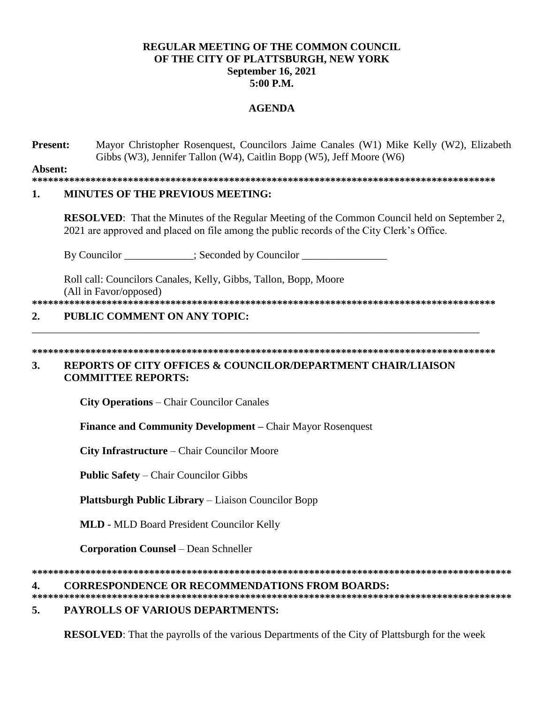### **REGULAR MEETING OF THE COMMON COUNCIL OF THE CITY OF PLATTSBURGH, NEW YORK September 16, 2021 5:00 P.M.**

### **AGENDA**

**Present:** Mayor Christopher Rosenquest, Councilors Jaime Canales (W1) Mike Kelly (W2), Elizabeth Gibbs (W3), Jennifer Tallon (W4), Caitlin Bopp (W5), Jeff Moore (W6)

**Absent:**

**\*\*\*\*\*\*\*\*\*\*\*\*\*\*\*\*\*\*\*\*\*\*\*\*\*\*\*\*\*\*\*\*\*\*\*\*\*\*\*\*\*\*\*\*\*\*\*\*\*\*\*\*\*\*\*\*\*\*\*\*\*\*\*\*\*\*\*\*\*\*\*\*\*\*\*\*\*\*\*\*\*\*\*\*\*\*\***

### **1. MINUTES OF THE PREVIOUS MEETING:**

**RESOLVED**: That the Minutes of the Regular Meeting of the Common Council held on September 2, 2021 are approved and placed on file among the public records of the City Clerk's Office.

By Councilor \_\_\_\_\_\_\_\_\_\_\_; Seconded by Councilor \_\_\_\_\_\_\_\_\_\_\_\_\_\_\_\_\_\_\_\_\_\_\_;

Roll call: Councilors Canales, Kelly, Gibbs, Tallon, Bopp, Moore (All in Favor/opposed)

## **\*\*\*\*\*\*\*\*\*\*\*\*\*\*\*\*\*\*\*\*\*\*\*\*\*\*\*\*\*\*\*\*\*\*\*\*\*\*\*\*\*\*\*\*\*\*\*\*\*\*\*\*\*\*\*\*\*\*\*\*\*\*\*\*\*\*\*\*\*\*\*\*\*\*\*\*\*\*\*\*\*\*\*\*\*\*\***

\_\_\_\_\_\_\_\_\_\_\_\_\_\_\_\_\_\_\_\_\_\_\_\_\_\_\_\_\_\_\_\_\_\_\_\_\_\_\_\_\_\_\_\_\_\_\_\_\_\_\_\_\_\_\_\_\_\_\_\_\_\_\_\_\_\_\_\_\_\_\_\_\_\_\_\_\_\_\_\_\_\_\_\_

### **2. PUBLIC COMMENT ON ANY TOPIC:**

**\*\*\*\*\*\*\*\*\*\*\*\*\*\*\*\*\*\*\*\*\*\*\*\*\*\*\*\*\*\*\*\*\*\*\*\*\*\*\*\*\*\*\*\*\*\*\*\*\*\*\*\*\*\*\*\*\*\*\*\*\*\*\*\*\*\*\*\*\*\*\*\*\*\*\*\*\*\*\*\*\*\*\*\*\*\*\*** 

### **3. REPORTS OF CITY OFFICES & COUNCILOR/DEPARTMENT CHAIR/LIAISON COMMITTEE REPORTS:**

**City Operations** – Chair Councilor Canales

**Finance and Community Development –** Chair Mayor Rosenquest

**City Infrastructure** – Chair Councilor Moore

**Public Safety** – Chair Councilor Gibbs

**Plattsburgh Public Library** – Liaison Councilor Bopp

**MLD -** MLD Board President Councilor Kelly

**Corporation Counsel** – Dean Schneller

**\*\*\*\*\*\*\*\*\*\*\*\*\*\*\*\*\*\*\*\*\*\*\*\*\*\*\*\*\*\*\*\*\*\*\*\*\*\*\*\*\*\*\*\*\*\*\*\*\*\*\*\*\*\*\*\*\*\*\*\*\*\*\*\*\*\*\*\*\*\*\*\*\*\*\*\*\*\*\*\*\*\*\*\*\*\*\*\*\*\***

### **4. CORRESPONDENCE OR RECOMMENDATIONS FROM BOARDS:**

**\*\*\*\*\*\*\*\*\*\*\*\*\*\*\*\*\*\*\*\*\*\*\*\*\*\*\*\*\*\*\*\*\*\*\*\*\*\*\*\*\*\*\*\*\*\*\*\*\*\*\*\*\*\*\*\*\*\*\*\*\*\*\*\*\*\*\*\*\*\*\*\*\*\*\*\*\*\*\*\*\*\*\*\*\*\*\*\*\*\* 5. PAYROLLS OF VARIOUS DEPARTMENTS:**

**RESOLVED**: That the payrolls of the various Departments of the City of Plattsburgh for the week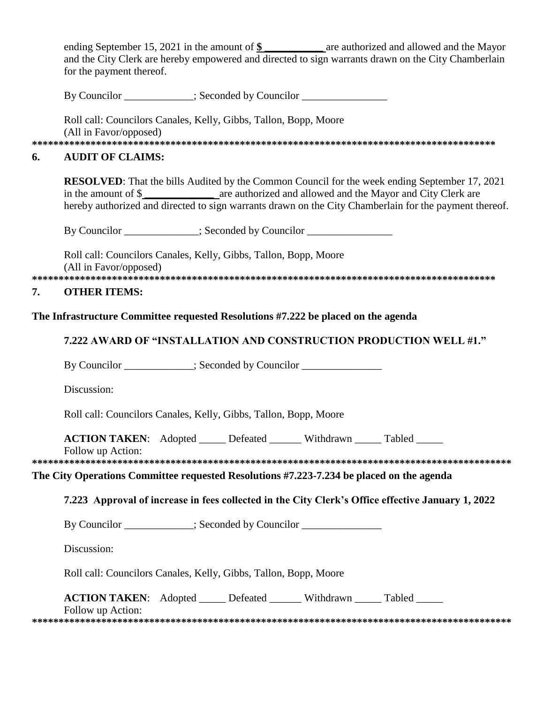ending September 15, 2021 in the amount of  $\frac{1}{2}$  are authorized and allowed and the Mayor and the City Clerk are hereby empowered and directed to sign warrants drawn on the City Chamberlain for the payment thereof.

By Councilor \_\_\_\_\_\_\_\_\_\_\_\_; Seconded by Councilor \_\_\_\_\_\_\_\_

Roll call: Councilors Canales, Kelly, Gibbs, Tallon, Bopp, Moore (All in Favor/opposed)

### **AUDIT OF CLAIMS:** 6.

**RESOLVED:** That the bills Audited by the Common Council for the week ending September 17, 2021 in the amount of \$ are authorized and allowed and the Mayor and City Clerk are hereby authorized and directed to sign warrants drawn on the City Chamberlain for the payment thereof.

By Councilor \_\_\_\_\_\_\_\_\_\_\_\_\_; Seconded by Councilor \_\_\_\_\_\_\_\_\_\_\_\_\_\_\_\_\_\_\_\_\_\_\_\_\_\_\_\_\_\_

Roll call: Councilors Canales, Kelly, Gibbs, Tallon, Bopp, Moore (All in Favor/opposed) 

### 7. **OTHER ITEMS:**

### The Infrastructure Committee requested Resolutions #7.222 be placed on the agenda

### 7.222 AWARD OF "INSTALLATION AND CONSTRUCTION PRODUCTION WELL #1."

By Councilor \_\_\_\_\_\_\_\_\_\_\_\_\_; Seconded by Councilor

Discussion:

Roll call: Councilors Canales, Kelly, Gibbs, Tallon, Bopp, Moore

**ACTION TAKEN:** Adopted Defeated Withdrawn Tabled

Follow up Action:

# 

### The City Operations Committee requested Resolutions #7.223-7.234 be placed on the agenda

### 7.223 Approval of increase in fees collected in the City Clerk's Office effective January 1, 2022

By Councilor \_\_\_\_\_\_\_\_\_\_; Seconded by Councilor \_\_\_\_\_\_\_\_\_\_\_\_\_\_\_

Discussion:

Roll call: Councilors Canales, Kelly, Gibbs, Tallon, Bopp, Moore

| <b>ACTION TAKEN:</b> Adopted |  | Defeated | Withdrawn | Tabled |  |
|------------------------------|--|----------|-----------|--------|--|
|------------------------------|--|----------|-----------|--------|--|

Follow up Action: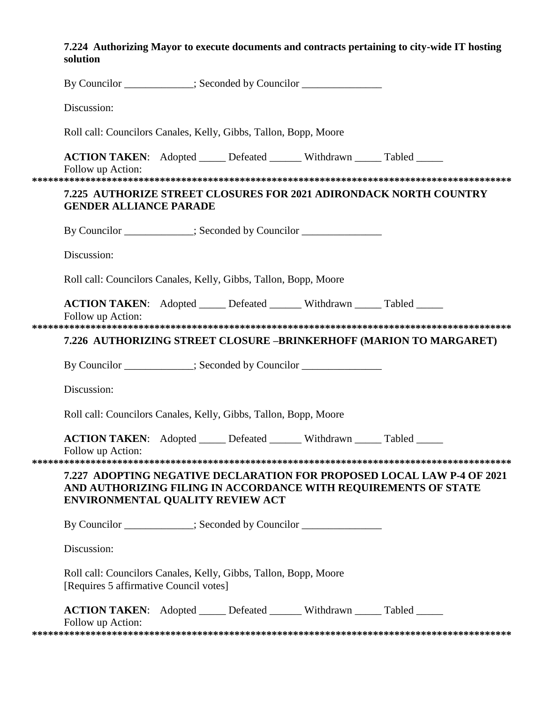## 7.224 Authorizing Mayor to execute documents and contracts pertaining to city-wide IT hosting solution

| By Councilor ___________; Seconded by Councilor ______________                                             |  |  |  |                                                                                                                                           |  |
|------------------------------------------------------------------------------------------------------------|--|--|--|-------------------------------------------------------------------------------------------------------------------------------------------|--|
| Discussion:                                                                                                |  |  |  |                                                                                                                                           |  |
| Roll call: Councilors Canales, Kelly, Gibbs, Tallon, Bopp, Moore                                           |  |  |  |                                                                                                                                           |  |
| <b>ACTION TAKEN:</b> Adopted _____ Defeated ______ Withdrawn _____ Tabled _____<br>Follow up Action:       |  |  |  |                                                                                                                                           |  |
| <b>GENDER ALLIANCE PARADE</b>                                                                              |  |  |  | <b>7.225 AUTHORIZE STREET CLOSURES FOR 2021 ADIRONDACK NORTH COUNTRY</b>                                                                  |  |
| By Councilor ___________; Seconded by Councilor _______________                                            |  |  |  |                                                                                                                                           |  |
| Discussion:                                                                                                |  |  |  |                                                                                                                                           |  |
| Roll call: Councilors Canales, Kelly, Gibbs, Tallon, Bopp, Moore                                           |  |  |  |                                                                                                                                           |  |
| <b>ACTION TAKEN:</b> Adopted _____ Defeated ______ Withdrawn _____ Tabled _____<br>Follow up Action:       |  |  |  |                                                                                                                                           |  |
|                                                                                                            |  |  |  | 7.226 AUTHORIZING STREET CLOSURE –BRINKERHOFF (MARION TO MARGARET)                                                                        |  |
| By Councilor ___________; Seconded by Councilor _______________                                            |  |  |  |                                                                                                                                           |  |
| Discussion:                                                                                                |  |  |  |                                                                                                                                           |  |
| Roll call: Councilors Canales, Kelly, Gibbs, Tallon, Bopp, Moore                                           |  |  |  |                                                                                                                                           |  |
| <b>ACTION TAKEN:</b> Adopted _____ Defeated ______ Withdrawn _____ Tabled _____<br>Follow up Action:       |  |  |  |                                                                                                                                           |  |
| ENVIRONMENTAL QUALITY REVIEW ACT                                                                           |  |  |  | 7.227 ADOPTING NEGATIVE DECLARATION FOR PROPOSED LOCAL LAW P-4 OF 2021<br>AND AUTHORIZING FILING IN ACCORDANCE WITH REQUIREMENTS OF STATE |  |
| By Councilor ___________; Seconded by Councilor _______________                                            |  |  |  |                                                                                                                                           |  |
| Discussion:                                                                                                |  |  |  |                                                                                                                                           |  |
| Roll call: Councilors Canales, Kelly, Gibbs, Tallon, Bopp, Moore<br>[Requires 5 affirmative Council votes] |  |  |  |                                                                                                                                           |  |
| ACTION TAKEN: Adopted _____ Defeated ______ Withdrawn _____ Tabled _____<br>Follow up Action:              |  |  |  |                                                                                                                                           |  |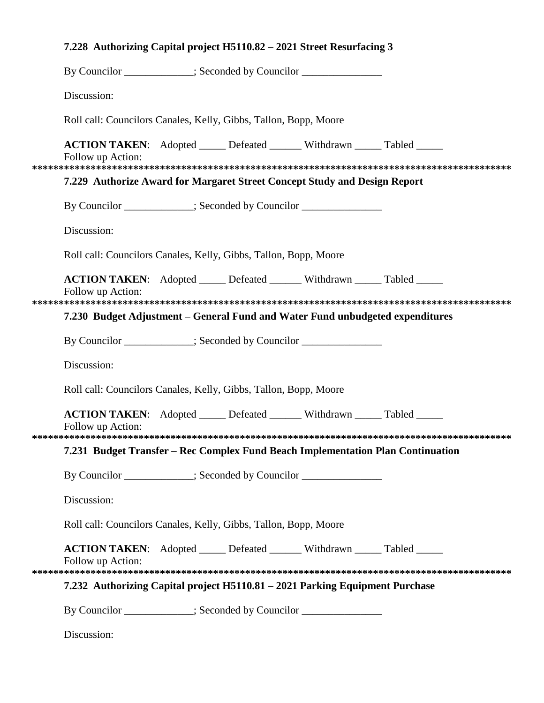| 7.228 Authorizing Capital project H5110.82 - 2021 Street Resurfacing 3                                 |  |  |  |  |  |
|--------------------------------------------------------------------------------------------------------|--|--|--|--|--|
| By Councilor __________; Seconded by Councilor _____________                                           |  |  |  |  |  |
| Discussion:                                                                                            |  |  |  |  |  |
| Roll call: Councilors Canales, Kelly, Gibbs, Tallon, Bopp, Moore                                       |  |  |  |  |  |
| <b>ACTION TAKEN:</b> Adopted ______ Defeated _______ Withdrawn _____ Tabled _____<br>Follow up Action: |  |  |  |  |  |
| 7.229 Authorize Award for Margaret Street Concept Study and Design Report                              |  |  |  |  |  |
| By Councilor ___________; Seconded by Councilor _______________                                        |  |  |  |  |  |
| Discussion:                                                                                            |  |  |  |  |  |
| Roll call: Councilors Canales, Kelly, Gibbs, Tallon, Bopp, Moore                                       |  |  |  |  |  |
| <b>ACTION TAKEN:</b> Adopted ______ Defeated _______ Withdrawn _____ Tabled _____<br>Follow up Action: |  |  |  |  |  |
| 7.230 Budget Adjustment – General Fund and Water Fund unbudgeted expenditures                          |  |  |  |  |  |
| By Councilor ___________; Seconded by Councilor _______________                                        |  |  |  |  |  |
| Discussion:                                                                                            |  |  |  |  |  |
| Roll call: Councilors Canales, Kelly, Gibbs, Tallon, Bopp, Moore                                       |  |  |  |  |  |
| ACTION TAKEN: Adopted _____ Defeated ______ Withdrawn _____ Tabled _____<br>Follow up Action:          |  |  |  |  |  |
| 7.231 Budget Transfer - Rec Complex Fund Beach Implementation Plan Continuation                        |  |  |  |  |  |
| By Councilor ___________; Seconded by Councilor ______________                                         |  |  |  |  |  |
| Discussion:                                                                                            |  |  |  |  |  |
| Roll call: Councilors Canales, Kelly, Gibbs, Tallon, Bopp, Moore                                       |  |  |  |  |  |
| <b>ACTION TAKEN:</b> Adopted ______ Defeated _______ Withdrawn _____ Tabled _____<br>Follow up Action: |  |  |  |  |  |
| 7.232 Authorizing Capital project H5110.81 - 2021 Parking Equipment Purchase                           |  |  |  |  |  |
| By Councilor ___________; Seconded by Councilor ______________                                         |  |  |  |  |  |
| Discussion:                                                                                            |  |  |  |  |  |